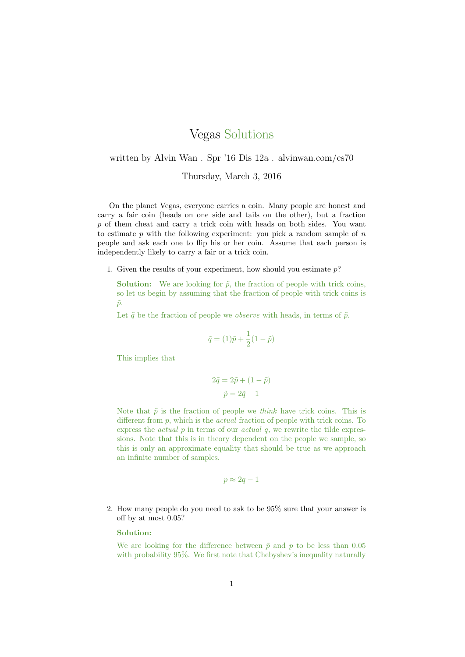## Vegas Solutions

## written by Alvin Wan . Spr '16 Dis 12a . alvinwan.com/cs70

Thursday, March 3, 2016

On the planet Vegas, everyone carries a coin. Many people are honest and carry a fair coin (heads on one side and tails on the other), but a fraction p of them cheat and carry a trick coin with heads on both sides. You want to estimate  $p$  with the following experiment: you pick a random sample of  $n$ people and ask each one to flip his or her coin. Assume that each person is independently likely to carry a fair or a trick coin.

1. Given the results of your experiment, how should you estimate  $p$ ?

**Solution:** We are looking for  $\tilde{p}$ , the fraction of people with trick coins, so let us begin by assuming that the fraction of people with trick coins is  $\tilde{p}$ .

Let  $\tilde{q}$  be the fraction of people we *observe* with heads, in terms of  $\tilde{p}$ .

$$
\tilde{q}=(1)\tilde{p}+\frac{1}{2}(1-\tilde{p})
$$

This implies that

$$
2\tilde{q} = 2\tilde{p} + (1 - \tilde{p})
$$

$$
\tilde{p} = 2\tilde{q} - 1
$$

Note that  $\tilde{p}$  is the fraction of people we think have trick coins. This is different from p, which is the *actual* fraction of people with trick coins. To express the *actual*  $p$  in terms of our *actual*  $q$ , we rewrite the tilde expressions. Note that this is in theory dependent on the people we sample, so this is only an approximate equality that should be true as we approach an infinite number of samples.

$$
p\approx 2q-1
$$

2. How many people do you need to ask to be 95% sure that your answer is off by at most 0.05?

## Solution:

We are looking for the difference between  $\tilde{p}$  and p to be less than 0.05 with probability 95%. We first note that Chebyshev's inequality naturally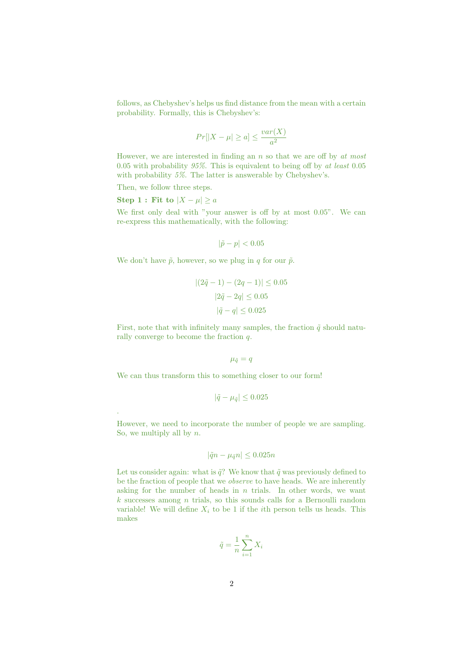follows, as Chebyshev's helps us find distance from the mean with a certain probability. Formally, this is Chebyshev's:

$$
Pr[|X - \mu| \ge a] \le \frac{var(X)}{a^2}
$$

However, we are interested in finding an  $n$  so that we are off by  $at$  most 0.05 with probability  $95\%$ . This is equivalent to being off by at least 0.05 with probability 5%. The latter is answerable by Chebyshev's.

Then, we follow three steps.

Step 1 : Fit to  $|X - \mu| \ge a$ 

.

We first only deal with "your answer is off by at most  $0.05$ ". We can re-express this mathematically, with the following:

 $|\tilde{p} - p| < 0.05$ 

We don't have  $\tilde{p}$ , however, so we plug in q for our  $\tilde{p}$ .

$$
|(2\tilde{q} - 1) - (2q - 1)| \le 0.05
$$
  

$$
|2\tilde{q} - 2q| \le 0.05
$$
  

$$
|\tilde{q} - q| \le 0.025
$$

First, note that with infinitely many samples, the fraction  $\tilde{q}$  should naturally converge to become the fraction q.

 $\mu_{\tilde{q}}=q$ 

We can thus transform this to something closer to our form!

$$
|\tilde{q} - \mu_{\tilde{q}}| \leq 0.025
$$

However, we need to incorporate the number of people we are sampling. So, we multiply all by  $n$ .

$$
|\tilde{q}n - \mu_{\tilde{q}}n| \leq 0.025n
$$

Let us consider again: what is  $\tilde{q}$ ? We know that  $\tilde{q}$  was previously defined to be the fraction of people that we observe to have heads. We are inherently asking for the number of heads in  $n$  trials. In other words, we want  $k$  successes among  $n$  trials, so this sounds calls for a Bernoulli random variable! We will define  $X_i$  to be 1 if the *i*th person tells us heads. This makes

$$
\tilde{q} = \frac{1}{n} \sum_{i=1}^{n} X_i
$$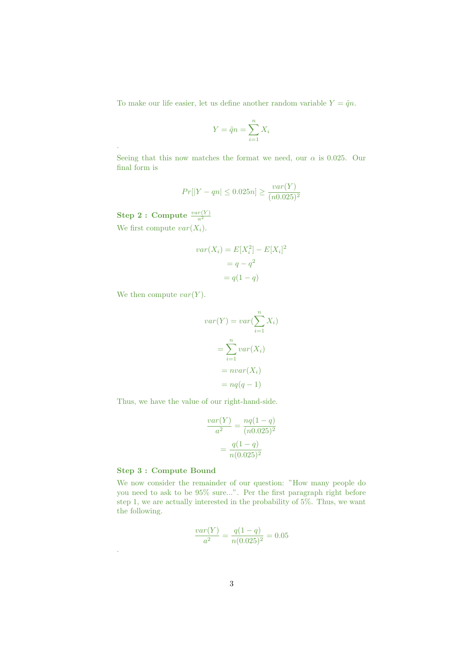To make our life easier, let us define another random variable  $Y = \tilde{q}n$ .

$$
Y = \tilde{q}n = \sum_{i=1}^{n} X_i
$$

Seeing that this now matches the format we need, our  $\alpha$  is 0.025. Our final form is

$$
Pr[|Y - qn| \le 0.025n] \ge \frac{var(Y)}{(n0.025)^2}
$$

Step 2 : Compute  $\frac{var(Y)}{a^2}$ 

.

We first compute  $var(X_i)$ .

$$
var(X_i) = E[X_i^2] - E[X_i]^2
$$

$$
= q - q^2
$$

$$
= q(1 - q)
$$

We then compute  $var(Y)$ .

$$
var(Y) = var(\sum_{i=1}^{n} X_i)
$$

$$
= \sum_{i=1}^{n} var(X_i)
$$

$$
= nvar(X_i)
$$

$$
= nvar(q - 1)
$$

Thus, we have the value of our right-hand-side.

$$
\frac{var(Y)}{a^2} = \frac{nq(1-q)}{(n0.025)^2}
$$

$$
= \frac{q(1-q)}{n(0.025)^2}
$$

## Step 3 : Compute Bound

.

We now consider the remainder of our question: "How many people do you need to ask to be 95% sure...". Per the first paragraph right before step 1, we are actually interested in the probability of 5%. Thus, we want the following.

$$
\frac{var(Y)}{a^2} = \frac{q(1-q)}{n(0.025)^2} = 0.05
$$